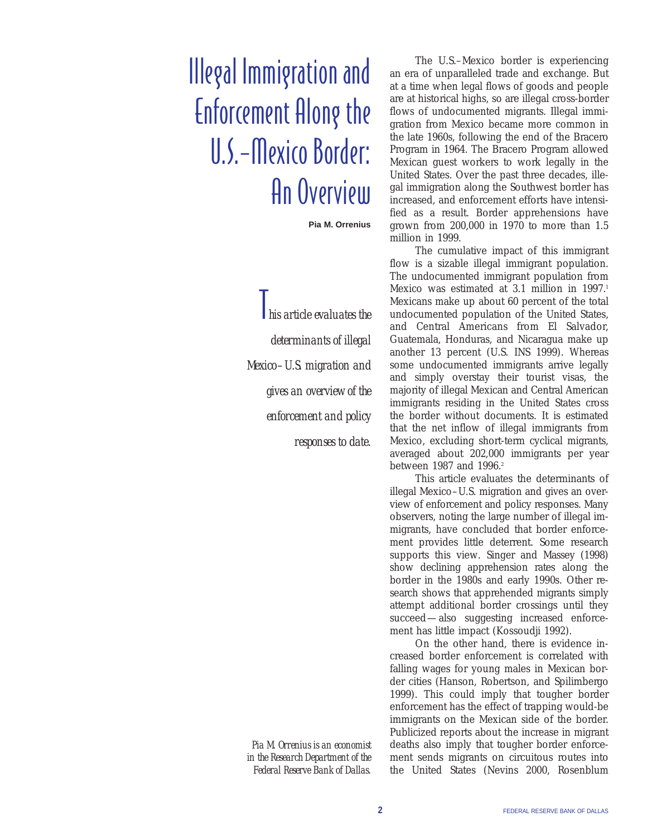# Illegal Immigration and Enforcement Along the U.S.–Mexico Border: An Overview

**Pia M. Orrenius**

T*his article evaluates the determinants of illegal Mexico–U.S. migration and gives an overview of the enforcement and policy responses to date.*

*Pia M. Orrenius is an economist in the Research Department of the Federal Reserve Bank of Dallas.*

The U.S.–Mexico border is experiencing an era of unparalleled trade and exchange. But at a time when legal flows of goods and people are at historical highs, so are illegal cross-border flows of undocumented migrants. Illegal immigration from Mexico became more common in the late 1960s, following the end of the Bracero Program in 1964. The Bracero Program allowed Mexican guest workers to work legally in the United States. Over the past three decades, illegal immigration along the Southwest border has increased, and enforcement efforts have intensified as a result. Border apprehensions have grown from 200,000 in 1970 to more than 1.5 million in 1999.

The cumulative impact of this immigrant flow is a sizable illegal immigrant population. The undocumented immigrant population from Mexico was estimated at 3.1 million in 1997.<sup>1</sup> Mexicans make up about 60 percent of the total undocumented population of the United States, and Central Americans from El Salvador, Guatemala, Honduras, and Nicaragua make up another 13 percent (U.S. INS 1999). Whereas some undocumented immigrants arrive legally and simply overstay their tourist visas, the majority of illegal Mexican and Central American immigrants residing in the United States cross the border without documents. It is estimated that the net inflow of illegal immigrants from Mexico, excluding short-term cyclical migrants, averaged about 202,000 immigrants per year between 1987 and 1996.<sup>2</sup>

This article evaluates the determinants of illegal Mexico–U.S. migration and gives an overview of enforcement and policy responses. Many observers, noting the large number of illegal immigrants, have concluded that border enforcement provides little deterrent. Some research supports this view. Singer and Massey (1998) show declining apprehension rates along the border in the 1980s and early 1990s. Other research shows that apprehended migrants simply attempt additional border crossings until they succeed—also suggesting increased enforcement has little impact (Kossoudji 1992).

On the other hand, there is evidence increased border enforcement is correlated with falling wages for young males in Mexican border cities (Hanson, Robertson, and Spilimbergo 1999). This could imply that tougher border enforcement has the effect of trapping would-be immigrants on the Mexican side of the border. Publicized reports about the increase in migrant deaths also imply that tougher border enforcement sends migrants on circuitous routes into the United States (Nevins 2000, Rosenblum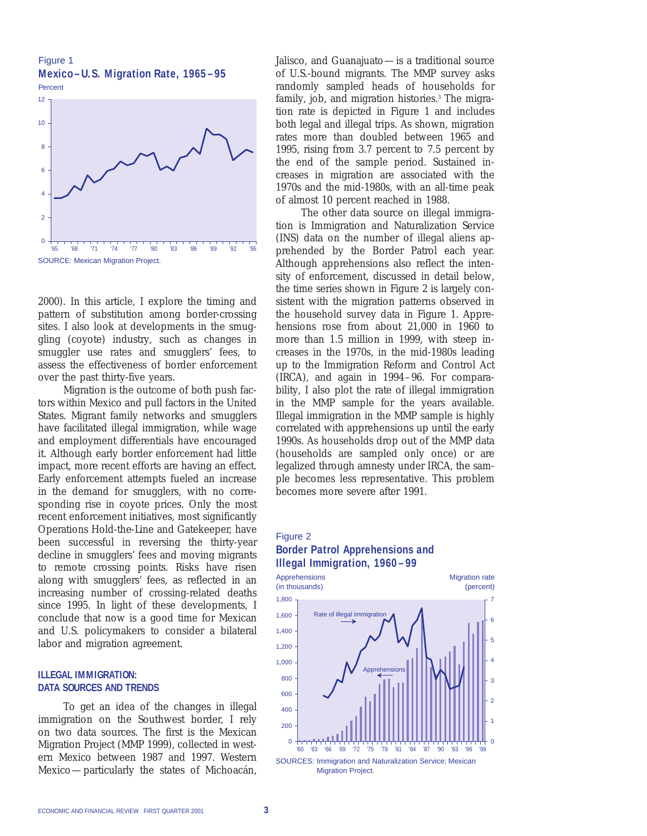Figure 1 **Mexico–U.S. Migration Rate, 1965–95**



2000). In this article, I explore the timing and pattern of substitution among border-crossing sites. I also look at developments in the smuggling (coyote) industry, such as changes in smuggler use rates and smugglers' fees, to assess the effectiveness of border enforcement over the past thirty-five years.

Migration is the outcome of both push factors within Mexico and pull factors in the United States. Migrant family networks and smugglers have facilitated illegal immigration, while wage and employment differentials have encouraged it. Although early border enforcement had little impact, more recent efforts are having an effect. Early enforcement attempts fueled an increase in the demand for smugglers, with no corresponding rise in coyote prices. Only the most recent enforcement initiatives, most significantly Operations Hold-the-Line and Gatekeeper, have been successful in reversing the thirty-year decline in smugglers' fees and moving migrants to remote crossing points. Risks have risen along with smugglers' fees, as reflected in an increasing number of crossing-related deaths since 1995. In light of these developments, I conclude that now is a good time for Mexican and U.S. policymakers to consider a bilateral labor and migration agreement.

#### **ILLEGAL IMMIGRATION: DATA SOURCES AND TRENDS**

To get an idea of the changes in illegal immigration on the Southwest border, I rely on two data sources. The first is the Mexican Migration Project (MMP 1999), collected in western Mexico between 1987 and 1997. Western Mexico—particularly the states of Michoacán,

Jalisco, and Guanajuato—is a traditional source of U.S.-bound migrants. The MMP survey asks randomly sampled heads of households for family, job, and migration histories.<sup>3</sup> The migration rate is depicted in Figure 1 and includes both legal and illegal trips. As shown, migration rates more than doubled between 1965 and 1995, rising from 3.7 percent to 7.5 percent by the end of the sample period. Sustained increases in migration are associated with the 1970s and the mid-1980s, with an all-time peak of almost 10 percent reached in 1988.

The other data source on illegal immigration is Immigration and Naturalization Service (INS) data on the number of illegal aliens apprehended by the Border Patrol each year. Although apprehensions also reflect the intensity of enforcement, discussed in detail below, the time series shown in Figure 2 is largely consistent with the migration patterns observed in the household survey data in Figure 1. Apprehensions rose from about 21,000 in 1960 to more than 1.5 million in 1999, with steep increases in the 1970s, in the mid-1980s leading up to the Immigration Reform and Control Act (IRCA), and again in 1994–96. For comparability, I also plot the rate of illegal immigration in the MMP sample for the years available. Illegal immigration in the MMP sample is highly correlated with apprehensions up until the early 1990s. As households drop out of the MMP data (households are sampled only once) or are legalized through amnesty under IRCA, the sample becomes less representative. This problem becomes more severe after 1991.

# Figure 2 **Border Patrol Apprehensions and Illegal Immigration, 1960–99**

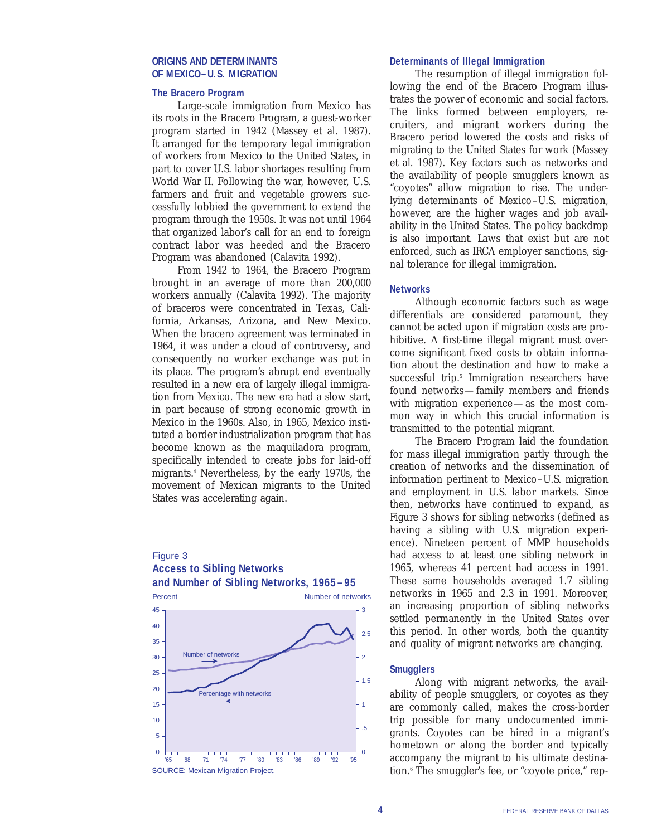#### **ORIGINS AND DETERMINANTS OF MEXICO–U.S. MIGRATION**

#### **The Bracero Program**

Large-scale immigration from Mexico has its roots in the Bracero Program, a guest-worker program started in 1942 (Massey et al. 1987). It arranged for the temporary legal immigration of workers from Mexico to the United States, in part to cover U.S. labor shortages resulting from World War II. Following the war, however, U.S. farmers and fruit and vegetable growers successfully lobbied the government to extend the program through the 1950s. It was not until 1964 that organized labor's call for an end to foreign contract labor was heeded and the Bracero Program was abandoned (Calavita 1992).

From 1942 to 1964, the Bracero Program brought in an average of more than 200,000 workers annually (Calavita 1992). The majority of braceros were concentrated in Texas, California, Arkansas, Arizona, and New Mexico. When the bracero agreement was terminated in 1964, it was under a cloud of controversy, and consequently no worker exchange was put in its place. The program's abrupt end eventually resulted in a new era of largely illegal immigration from Mexico. The new era had a slow start, in part because of strong economic growth in Mexico in the 1960s. Also, in 1965, Mexico instituted a border industrialization program that has become known as the maquiladora program, specifically intended to create jobs for laid-off migrants.4 Nevertheless, by the early 1970s, the movement of Mexican migrants to the United States was accelerating again.

# Figure 3 **Access to Sibling Networks and Number of Sibling Networks, 1965–95**



#### **Determinants of Illegal Immigration**

The resumption of illegal immigration following the end of the Bracero Program illustrates the power of economic and social factors. The links formed between employers, recruiters, and migrant workers during the Bracero period lowered the costs and risks of migrating to the United States for work (Massey et al. 1987). Key factors such as networks and the availability of people smugglers known as "coyotes" allow migration to rise. The underlying determinants of Mexico–U.S. migration, however, are the higher wages and job availability in the United States. The policy backdrop is also important. Laws that exist but are not enforced, such as IRCA employer sanctions, signal tolerance for illegal immigration.

#### **Networks**

Although economic factors such as wage differentials are considered paramount, they cannot be acted upon if migration costs are prohibitive. A first-time illegal migrant must overcome significant fixed costs to obtain information about the destination and how to make a successful trip.<sup>5</sup> Immigration researchers have found networks—family members and friends with migration experience—as the most common way in which this crucial information is transmitted to the potential migrant.

The Bracero Program laid the foundation for mass illegal immigration partly through the creation of networks and the dissemination of information pertinent to Mexico–U.S. migration and employment in U.S. labor markets. Since then, networks have continued to expand, as Figure 3 shows for sibling networks (defined as having a sibling with U.S. migration experience). Nineteen percent of MMP households had access to at least one sibling network in 1965, whereas 41 percent had access in 1991. These same households averaged 1.7 sibling networks in 1965 and 2.3 in 1991. Moreover, an increasing proportion of sibling networks settled permanently in the United States over this period. In other words, both the quantity and quality of migrant networks are changing.

#### **Smugglers**

Along with migrant networks, the availability of people smugglers, or coyotes as they are commonly called, makes the cross-border trip possible for many undocumented immigrants. Coyotes can be hired in a migrant's hometown or along the border and typically accompany the migrant to his ultimate destination.6 The smuggler's fee, or "coyote price," rep-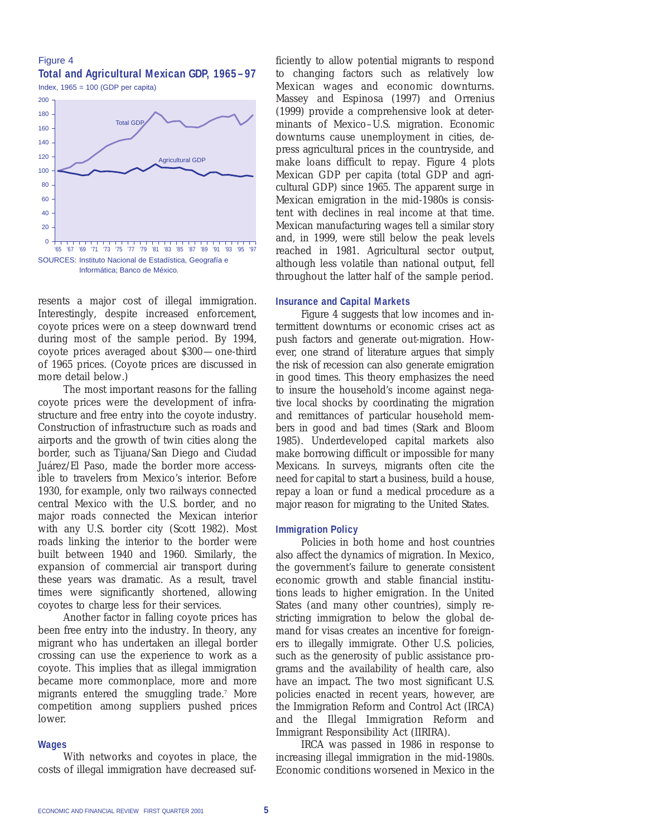# Figure 4 **Total and Agricultural Mexican GDP, 1965–97**

Index, 1965 = 100 (GDP per capita)



resents a major cost of illegal immigration. Interestingly, despite increased enforcement, coyote prices were on a steep downward trend during most of the sample period. By 1994, coyote prices averaged about \$300—one-third of 1965 prices. (Coyote prices are discussed in more detail below.)

The most important reasons for the falling coyote prices were the development of infrastructure and free entry into the coyote industry. Construction of infrastructure such as roads and airports and the growth of twin cities along the border, such as Tijuana/San Diego and Ciudad Juárez/El Paso, made the border more accessible to travelers from Mexico's interior. Before 1930, for example, only two railways connected central Mexico with the U.S. border, and no major roads connected the Mexican interior with any U.S. border city (Scott 1982). Most roads linking the interior to the border were built between 1940 and 1960. Similarly, the expansion of commercial air transport during these years was dramatic. As a result, travel times were significantly shortened, allowing coyotes to charge less for their services.

Another factor in falling coyote prices has been free entry into the industry. In theory, any migrant who has undertaken an illegal border crossing can use the experience to work as a coyote. This implies that as illegal immigration became more commonplace, more and more migrants entered the smuggling trade.7 More competition among suppliers pushed prices lower.

#### **Wages**

With networks and coyotes in place, the costs of illegal immigration have decreased sufficiently to allow potential migrants to respond to changing factors such as relatively low Mexican wages and economic downturns. Massey and Espinosa (1997) and Orrenius (1999) provide a comprehensive look at determinants of Mexico–U.S. migration. Economic downturns cause unemployment in cities, depress agricultural prices in the countryside, and make loans difficult to repay. Figure 4 plots Mexican GDP per capita (total GDP and agricultural GDP) since 1965. The apparent surge in Mexican emigration in the mid-1980s is consistent with declines in real income at that time. Mexican manufacturing wages tell a similar story and, in 1999, were still below the peak levels reached in 1981. Agricultural sector output, although less volatile than national output, fell throughout the latter half of the sample period.

#### **Insurance and Capital Markets**

Figure 4 suggests that low incomes and intermittent downturns or economic crises act as push factors and generate out-migration. However, one strand of literature argues that simply the risk of recession can also generate emigration in good times. This theory emphasizes the need to insure the household's income against negative local shocks by coordinating the migration and remittances of particular household members in good and bad times (Stark and Bloom 1985). Underdeveloped capital markets also make borrowing difficult or impossible for many Mexicans. In surveys, migrants often cite the need for capital to start a business, build a house, repay a loan or fund a medical procedure as a major reason for migrating to the United States.

#### **Immigration Policy**

Policies in both home and host countries also affect the dynamics of migration. In Mexico, the government's failure to generate consistent economic growth and stable financial institutions leads to higher emigration. In the United States (and many other countries), simply restricting immigration to below the global demand for visas creates an incentive for foreigners to illegally immigrate. Other U.S. policies, such as the generosity of public assistance programs and the availability of health care, also have an impact. The two most significant U.S. policies enacted in recent years, however, are the Immigration Reform and Control Act (IRCA) and the Illegal Immigration Reform and Immigrant Responsibility Act (IIRIRA).

IRCA was passed in 1986 in response to increasing illegal immigration in the mid-1980s. Economic conditions worsened in Mexico in the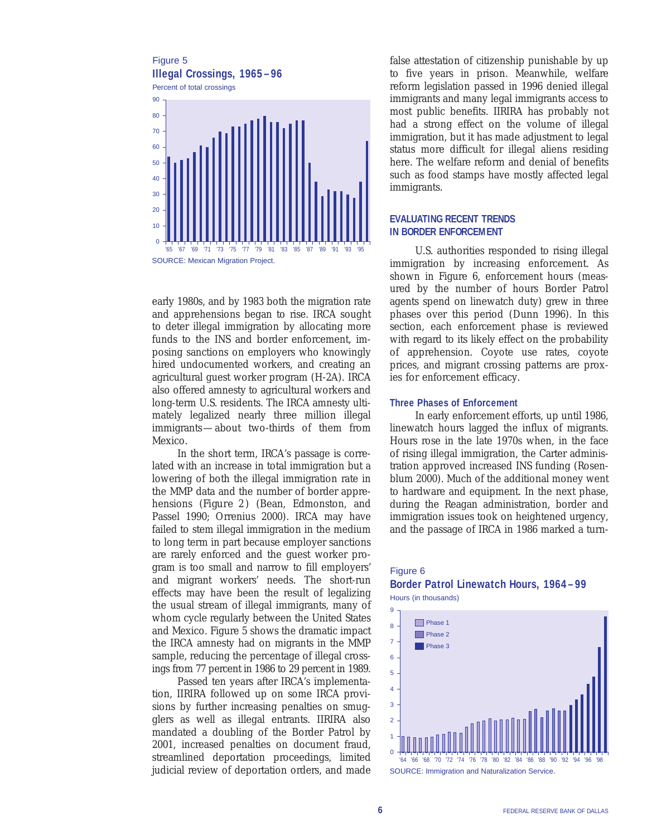

early 1980s, and by 1983 both the migration rate and apprehensions began to rise. IRCA sought to deter illegal immigration by allocating more funds to the INS and border enforcement, imposing sanctions on employers who knowingly hired undocumented workers, and creating an agricultural guest worker program (H-2A). IRCA also offered amnesty to agricultural workers and long-term U.S. residents. The IRCA amnesty ultimately legalized nearly three million illegal immigrants—about two-thirds of them from Mexico.

In the short term, IRCA's passage is correlated with an increase in total immigration but a lowering of both the illegal immigration rate in the MMP data and the number of border apprehensions (*Figure 2*) (Bean, Edmonston, and Passel 1990; Orrenius 2000). IRCA may have failed to stem illegal immigration in the medium to long term in part because employer sanctions are rarely enforced and the guest worker program is too small and narrow to fill employers' and migrant workers' needs. The short-run effects may have been the result of legalizing the usual stream of illegal immigrants, many of whom cycle regularly between the United States and Mexico. Figure 5 shows the dramatic impact the IRCA amnesty had on migrants in the MMP sample, reducing the percentage of illegal crossings from 77 percent in 1986 to 29 percent in 1989.

Passed ten years after IRCA's implementation, IIRIRA followed up on some IRCA provisions by further increasing penalties on smugglers as well as illegal entrants. IIRIRA also mandated a doubling of the Border Patrol by 2001, increased penalties on document fraud, streamlined deportation proceedings, limited judicial review of deportation orders, and made false attestation of citizenship punishable by up to five years in prison. Meanwhile, welfare reform legislation passed in 1996 denied illegal immigrants and many legal immigrants access to most public benefits. IIRIRA has probably not had a strong effect on the volume of illegal immigration, but it has made adjustment to legal status more difficult for illegal aliens residing here. The welfare reform and denial of benefits such as food stamps have mostly affected legal immigrants.

#### **EVALUATING RECENT TRENDS IN BORDER ENFORCEMENT**

U.S. authorities responded to rising illegal immigration by increasing enforcement. As shown in Figure 6, enforcement hours (measured by the number of hours Border Patrol agents spend on linewatch duty) grew in three phases over this period (Dunn 1996). In this section, each enforcement phase is reviewed with regard to its likely effect on the probability of apprehension. Coyote use rates, coyote prices, and migrant crossing patterns are proxies for enforcement efficacy.

#### **Three Phases of Enforcement**

In early enforcement efforts, up until 1986, linewatch hours lagged the influx of migrants. Hours rose in the late 1970s when, in the face of rising illegal immigration, the Carter administration approved increased INS funding (Rosenblum 2000). Much of the additional money went to hardware and equipment. In the next phase, during the Reagan administration, border and immigration issues took on heightened urgency, and the passage of IRCA in 1986 marked a turn-

# Figure 6 **Border Patrol Linewatch Hours, 1964–99**

Hours (in thousands)

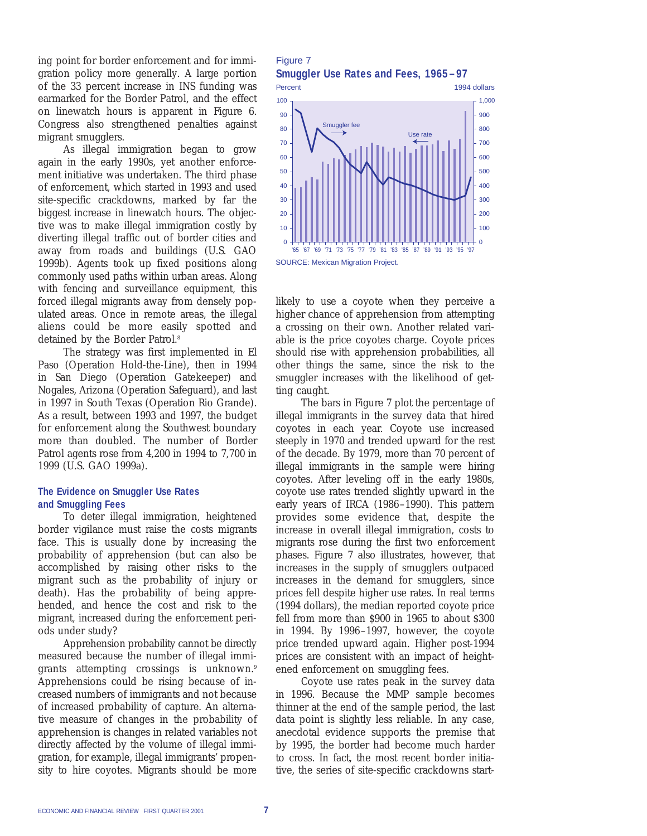ing point for border enforcement and for immigration policy more generally. A large portion of the 33 percent increase in INS funding was earmarked for the Border Patrol, and the effect on linewatch hours is apparent in Figure 6. Congress also strengthened penalties against migrant smugglers.

As illegal immigration began to grow again in the early 1990s, yet another enforcement initiative was undertaken. The third phase of enforcement, which started in 1993 and used site-specific crackdowns, marked by far the biggest increase in linewatch hours. The objective was to make illegal immigration costly by diverting illegal traffic out of border cities and away from roads and buildings (U.S. GAO 1999b). Agents took up fixed positions along commonly used paths within urban areas. Along with fencing and surveillance equipment, this forced illegal migrants away from densely populated areas. Once in remote areas, the illegal aliens could be more easily spotted and detained by the Border Patrol.<sup>8</sup>

The strategy was first implemented in El Paso (Operation Hold-the-Line), then in 1994 in San Diego (Operation Gatekeeper) and Nogales, Arizona (Operation Safeguard), and last in 1997 in South Texas (Operation Rio Grande). As a result, between 1993 and 1997, the budget for enforcement along the Southwest boundary more than doubled. The number of Border Patrol agents rose from 4,200 in 1994 to 7,700 in 1999 (U.S. GAO 1999a).

#### **The Evidence on Smuggler Use Rates and Smuggling Fees**

To deter illegal immigration, heightened border vigilance must raise the costs migrants face. This is usually done by increasing the probability of apprehension (but can also be accomplished by raising other risks to the migrant such as the probability of injury or death). Has the probability of being apprehended, and hence the cost and risk to the migrant, increased during the enforcement periods under study?

Apprehension probability cannot be directly measured because the number of illegal immigrants attempting crossings is unknown.<sup>9</sup> Apprehensions could be rising because of increased numbers of immigrants and not because of increased probability of capture. An alternative measure of changes in the probability of apprehension is changes in related variables not directly affected by the volume of illegal immigration, for example, illegal immigrants' propensity to hire coyotes. Migrants should be more

Figure 7 **Smuggler Use Rates and Fees, 1965–97**



likely to use a coyote when they perceive a higher chance of apprehension from attempting a crossing on their own. Another related variable is the price coyotes charge. Coyote prices should rise with apprehension probabilities, all other things the same, since the risk to the smuggler increases with the likelihood of getting caught.

The bars in Figure 7 plot the percentage of illegal immigrants in the survey data that hired coyotes in each year. Coyote use increased steeply in 1970 and trended upward for the rest of the decade. By 1979, more than 70 percent of illegal immigrants in the sample were hiring coyotes. After leveling off in the early 1980s, coyote use rates trended slightly upward in the early years of IRCA (1986–1990). This pattern provides some evidence that, despite the increase in overall illegal immigration, costs to migrants rose during the first two enforcement phases. Figure 7 also illustrates, however, that increases in the supply of smugglers outpaced increases in the demand for smugglers, since prices fell despite higher use rates. In real terms (1994 dollars), the median reported coyote price fell from more than \$900 in 1965 to about \$300 in 1994. By 1996–1997, however, the coyote price trended upward again. Higher post-1994 prices are consistent with an impact of heightened enforcement on smuggling fees.

Coyote use rates peak in the survey data in 1996. Because the MMP sample becomes thinner at the end of the sample period, the last data point is slightly less reliable. In any case, anecdotal evidence supports the premise that by 1995, the border had become much harder to cross. In fact, the most recent border initiative, the series of site-specific crackdowns start-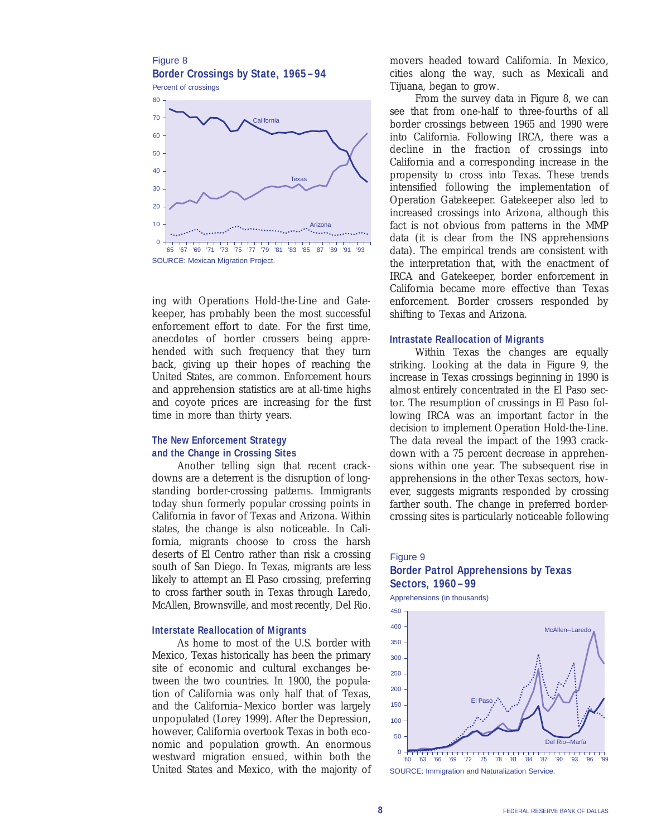

ing with Operations Hold-the-Line and Gatekeeper, has probably been the most successful enforcement effort to date. For the first time, anecdotes of border crossers being apprehended with such frequency that they turn back, giving up their hopes of reaching the United States, are common. Enforcement hours and apprehension statistics are at all-time highs and coyote prices are increasing for the first time in more than thirty years.

# **The New Enforcement Strategy and the Change in Crossing Sites**

Another telling sign that recent crackdowns are a deterrent is the disruption of longstanding border-crossing patterns. Immigrants today shun formerly popular crossing points in California in favor of Texas and Arizona. Within states, the change is also noticeable. In California, migrants choose to cross the harsh deserts of El Centro rather than risk a crossing south of San Diego. In Texas, migrants are less likely to attempt an El Paso crossing, preferring to cross farther south in Texas through Laredo, McAllen, Brownsville, and most recently, Del Rio.

#### **Interstate Reallocation of Migrants**

As home to most of the U.S. border with Mexico, Texas historically has been the primary site of economic and cultural exchanges between the two countries. In 1900, the population of California was only half that of Texas, and the California–Mexico border was largely unpopulated (Lorey 1999). After the Depression, however, California overtook Texas in both economic and population growth. An enormous westward migration ensued, within both the United States and Mexico, with the majority of

movers headed toward California. In Mexico, cities along the way, such as Mexicali and Tijuana, began to grow.

From the survey data in Figure 8, we can see that from one-half to three-fourths of all border crossings between 1965 and 1990 were into California. Following IRCA, there was a decline in the fraction of crossings into California and a corresponding increase in the propensity to cross into Texas. These trends intensified following the implementation of Operation Gatekeeper. Gatekeeper also led to increased crossings into Arizona, although this fact is not obvious from patterns in the MMP data (it is clear from the INS apprehensions data). The empirical trends are consistent with the interpretation that, with the enactment of IRCA and Gatekeeper, border enforcement in California became more effective than Texas enforcement. Border crossers responded by shifting to Texas and Arizona.

#### **Intrastate Reallocation of Migrants**

Within Texas the changes are equally striking. Looking at the data in Figure 9, the increase in Texas crossings beginning in 1990 is almost entirely concentrated in the El Paso sector. The resumption of crossings in El Paso following IRCA was an important factor in the decision to implement Operation Hold-the-Line. The data reveal the impact of the 1993 crackdown with a 75 percent decrease in apprehensions within one year. The subsequent rise in apprehensions in the other Texas sectors, however, suggests migrants responded by crossing farther south. The change in preferred bordercrossing sites is particularly noticeable following

# Figure 9 **Border Patrol Apprehensions by Texas Sectors, 1960–99**

Apprehensions (in thousands)

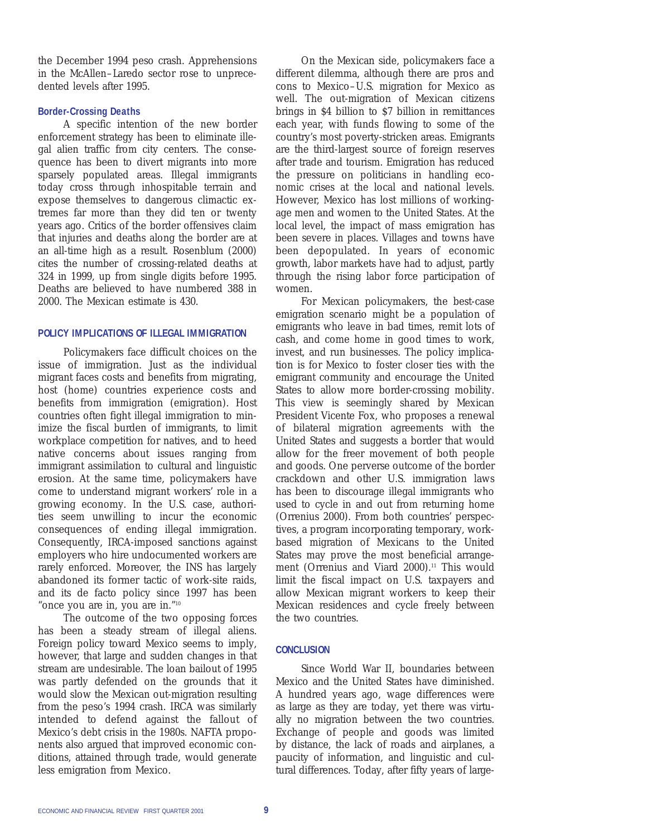the December 1994 peso crash. Apprehensions in the McAllen–Laredo sector rose to unprecedented levels after 1995.

#### **Border-Crossing Deaths**

A specific intention of the new border enforcement strategy has been to eliminate illegal alien traffic from city centers. The consequence has been to divert migrants into more sparsely populated areas. Illegal immigrants today cross through inhospitable terrain and expose themselves to dangerous climactic extremes far more than they did ten or twenty years ago. Critics of the border offensives claim that injuries and deaths along the border are at an all-time high as a result. Rosenblum (2000) cites the number of crossing-related deaths at 324 in 1999, up from single digits before 1995. Deaths are believed to have numbered 388 in 2000. The Mexican estimate is 430.

#### **POLICY IMPLICATIONS OF ILLEGAL IMMIGRATION**

Policymakers face difficult choices on the issue of immigration. Just as the individual migrant faces costs and benefits from migrating, host (home) countries experience costs and benefits from immigration (emigration). Host countries often fight illegal immigration to minimize the fiscal burden of immigrants, to limit workplace competition for natives, and to heed native concerns about issues ranging from immigrant assimilation to cultural and linguistic erosion. At the same time, policymakers have come to understand migrant workers' role in a growing economy. In the U.S. case, authorities seem unwilling to incur the economic consequences of ending illegal immigration. Consequently, IRCA-imposed sanctions against employers who hire undocumented workers are rarely enforced. Moreover, the INS has largely abandoned its former tactic of work-site raids, and its de facto policy since 1997 has been "once you are in, you are in."10

The outcome of the two opposing forces has been a steady stream of illegal aliens. Foreign policy toward Mexico seems to imply, however, that large and sudden changes in that stream are undesirable. The loan bailout of 1995 was partly defended on the grounds that it would slow the Mexican out-migration resulting from the peso's 1994 crash. IRCA was similarly intended to defend against the fallout of Mexico's debt crisis in the 1980s. NAFTA proponents also argued that improved economic conditions, attained through trade, would generate less emigration from Mexico.

On the Mexican side, policymakers face a different dilemma, although there are pros and cons to Mexico–U.S. migration for Mexico as well. The out-migration of Mexican citizens brings in \$4 billion to \$7 billion in remittances each year, with funds flowing to some of the country's most poverty-stricken areas. Emigrants are the third-largest source of foreign reserves after trade and tourism. Emigration has reduced the pressure on politicians in handling economic crises at the local and national levels. However, Mexico has lost millions of workingage men and women to the United States. At the local level, the impact of mass emigration has been severe in places. Villages and towns have been depopulated. In years of economic growth, labor markets have had to adjust, partly through the rising labor force participation of women.

For Mexican policymakers, the best-case emigration scenario might be a population of emigrants who leave in bad times, remit lots of cash, and come home in good times to work, invest, and run businesses. The policy implication is for Mexico to foster closer ties with the emigrant community and encourage the United States to allow more border-crossing mobility. This view is seemingly shared by Mexican President Vicente Fox, who proposes a renewal of bilateral migration agreements with the United States and suggests a border that would allow for the freer movement of both people and goods. One perverse outcome of the border crackdown and other U.S. immigration laws has been to discourage illegal immigrants who used to cycle in and out from returning home (Orrenius 2000). From both countries' perspectives, a program incorporating temporary, workbased migration of Mexicans to the United States may prove the most beneficial arrangement (Orrenius and Viard 2000).<sup>11</sup> This would limit the fiscal impact on U.S. taxpayers and allow Mexican migrant workers to keep their Mexican residences and cycle freely between the two countries.

#### **CONCLUSION**

Since World War II, boundaries between Mexico and the United States have diminished. A hundred years ago, wage differences were as large as they are today, yet there was virtually no migration between the two countries. Exchange of people and goods was limited by distance, the lack of roads and airplanes, a paucity of information, and linguistic and cultural differences. Today, after fifty years of large-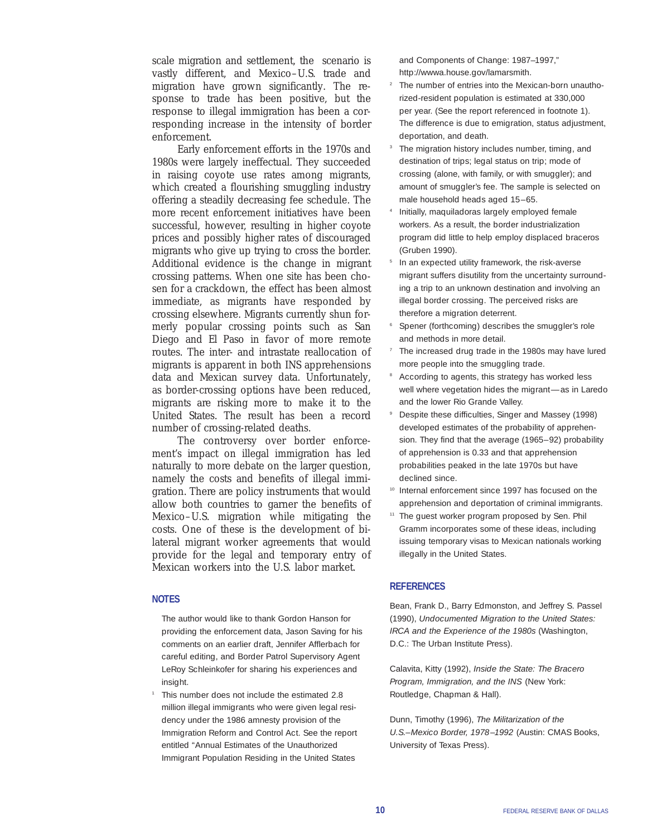scale migration and settlement, the scenario is vastly different, and Mexico–U.S. trade and migration have grown significantly. The response to trade has been positive, but the response to illegal immigration has been a corresponding increase in the intensity of border enforcement.

Early enforcement efforts in the 1970s and 1980s were largely ineffectual. They succeeded in raising coyote use rates among migrants, which created a flourishing smuggling industry offering a steadily decreasing fee schedule. The more recent enforcement initiatives have been successful, however, resulting in higher coyote prices and possibly higher rates of discouraged migrants who give up trying to cross the border. Additional evidence is the change in migrant crossing patterns. When one site has been chosen for a crackdown, the effect has been almost immediate, as migrants have responded by crossing elsewhere. Migrants currently shun formerly popular crossing points such as San Diego and El Paso in favor of more remote routes. The inter- and intrastate reallocation of migrants is apparent in both INS apprehensions data and Mexican survey data. Unfortunately, as border-crossing options have been reduced, migrants are risking more to make it to the United States. The result has been a record number of crossing-related deaths.

The controversy over border enforcement's impact on illegal immigration has led naturally to more debate on the larger question, namely the costs and benefits of illegal immigration. There are policy instruments that would allow both countries to garner the benefits of Mexico–U.S. migration while mitigating the costs. One of these is the development of bilateral migrant worker agreements that would provide for the legal and temporary entry of Mexican workers into the U.S. labor market.

#### **NOTES**

The author would like to thank Gordon Hanson for providing the enforcement data, Jason Saving for his comments on an earlier draft, Jennifer Afflerbach for careful editing, and Border Patrol Supervisory Agent LeRoy Schleinkofer for sharing his experiences and insight.

<sup>1</sup> This number does not include the estimated 2.8 million illegal immigrants who were given legal residency under the 1986 amnesty provision of the Immigration Reform and Control Act. See the report entitled "Annual Estimates of the Unauthorized Immigrant Population Residing in the United States

and Components of Change: 1987–1997," http://wwwa.house.gov/lamarsmith.

- The number of entries into the Mexican-born unauthorized-resident population is estimated at 330,000 per year. (See the report referenced in footnote 1). The difference is due to emigration, status adjustment, deportation, and death.
- The migration history includes number, timing, and destination of trips; legal status on trip; mode of crossing (alone, with family, or with smuggler); and amount of smuggler's fee. The sample is selected on male household heads aged 15–65.
- Initially, maquiladoras largely employed female workers. As a result, the border industrialization program did little to help employ displaced braceros (Gruben 1990).
- In an expected utility framework, the risk-averse migrant suffers disutility from the uncertainty surrounding a trip to an unknown destination and involving an illegal border crossing. The perceived risks are therefore a migration deterrent.
- Spener (forthcoming) describes the smuggler's role and methods in more detail.
- The increased drug trade in the 1980s may have lured more people into the smuggling trade.
- According to agents, this strategy has worked less well where vegetation hides the migrant—as in Laredo and the lower Rio Grande Valley.
- Despite these difficulties, Singer and Massey (1998) developed estimates of the probability of apprehension. They find that the average (1965–92) probability of apprehension is 0.33 and that apprehension probabilities peaked in the late 1970s but have declined since.
- Internal enforcement since 1997 has focused on the apprehension and deportation of criminal immigrants.
- <sup>11</sup> The guest worker program proposed by Sen. Phil Gramm incorporates some of these ideas, including issuing temporary visas to Mexican nationals working illegally in the United States.

#### **REFERENCES**

Bean, Frank D., Barry Edmonston, and Jeffrey S. Passel (1990), *Undocumented Migration to the United States: IRCA and the Experience of the 1980s* (Washington, D.C.: The Urban Institute Press).

Calavita, Kitty (1992), *Inside the State: The Bracero Program, Immigration, and the INS* (New York: Routledge, Chapman & Hall).

Dunn, Timothy (1996), *The Militarization of the U.S.–Mexico Border, 1978–1992* (Austin: CMAS Books, University of Texas Press).